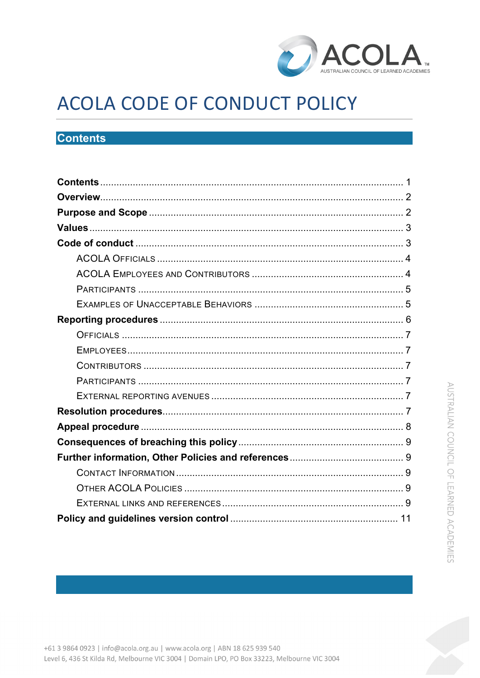

# ACOLA CODE OF CONDUCT POLICY

## <span id="page-0-0"></span>**Contents**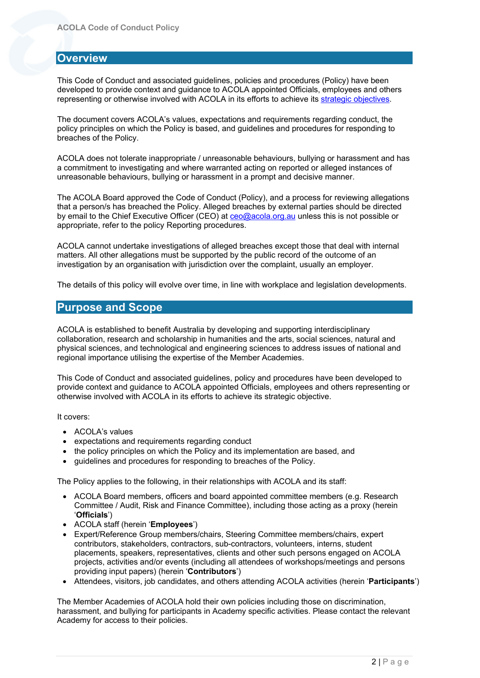## <span id="page-1-0"></span>**Overview**

This Code of Conduct and associated guidelines, policies and procedures (Policy) have been developed to provide context and guidance to ACOLA appointed Officials, employees and others representing or otherwise involved with ACOLA in its efforts to achieve its [strategic objectives.](https://www.acola.org/about-us/strategic-plan/)

The document covers ACOLA's values, expectations and requirements regarding conduct, the policy principles on which the Policy is based, and guidelines and procedures for responding to breaches of the Policy.

ACOLA does not tolerate inappropriate / unreasonable behaviours, bullying or harassment and has a commitment to investigating and where warranted acting on reported or alleged instances of unreasonable behaviours, bullying or harassment in a prompt and decisive manner.

The ACOLA Board approved the Code of Conduct (Policy), and a process for reviewing allegations that a person/s has breached the Policy. Alleged breaches by external parties should be directed by email to the Chief Executive Officer (CEO) at [ceo@acola.org.au](mailto:ceo@acola.org.au) unless this is not possible or appropriate, refer to the policy Reporting procedures.

ACOLA cannot undertake investigations of alleged breaches except those that deal with internal matters. All other allegations must be supported by the public record of the outcome of an investigation by an organisation with jurisdiction over the complaint, usually an employer.

The details of this policy will evolve over time, in line with workplace and legislation developments.

## <span id="page-1-1"></span>**Purpose and Scope**

ACOLA is established to benefit Australia by developing and supporting interdisciplinary collaboration, research and scholarship in humanities and the arts, social sciences, natural and physical sciences, and technological and engineering sciences to address issues of national and regional importance utilising the expertise of the Member Academies.

This Code of Conduct and associated guidelines, policy and procedures have been developed to provide context and guidance to ACOLA appointed Officials, employees and others representing or otherwise involved with ACOLA in its efforts to achieve its strategic objective.

It covers:

- ACOLA's values
- expectations and requirements regarding conduct
- the policy principles on which the Policy and its implementation are based, and
- guidelines and procedures for responding to breaches of the Policy.

The Policy applies to the following, in their relationships with ACOLA and its staff:

- ACOLA Board members, officers and board appointed committee members (e.g. Research Committee / Audit, Risk and Finance Committee), including those acting as a proxy (herein '**Officials**')
- ACOLA staff (herein '**Employees**')
- Expert/Reference Group members/chairs, Steering Committee members/chairs, expert contributors, stakeholders, contractors, sub-contractors, volunteers, interns, student placements, speakers, representatives, clients and other such persons engaged on ACOLA projects, activities and/or events (including all attendees of workshops/meetings and persons providing input papers) (herein '**Contributors**')
- Attendees, visitors, job candidates, and others attending ACOLA activities (herein '**Participants**')

The Member Academies of ACOLA hold their own policies including those on discrimination, harassment, and bullying for participants in Academy specific activities. Please contact the relevant Academy for access to their policies.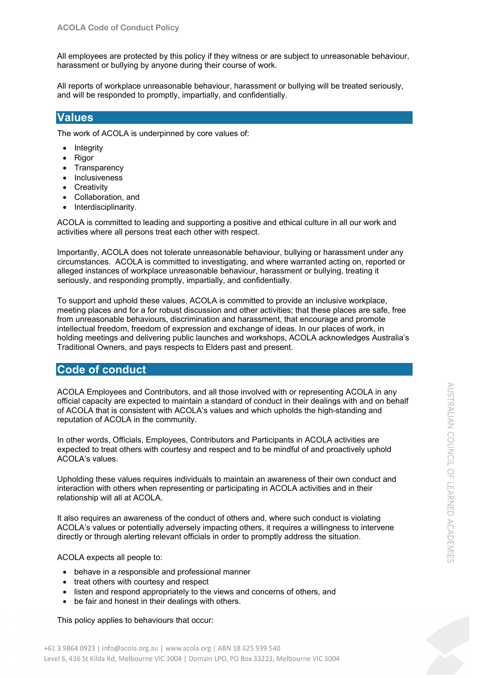All employees are protected by this policy if they witness or are subject to unreasonable behaviour, harassment or bullying by anyone during their course of work.

All reports of workplace unreasonable behaviour, harassment or bullying will be treated seriously, and will be responded to promptly, impartially, and confidentially.

## <span id="page-2-0"></span>**Values**

The work of ACOLA is underpinned by core values of:

- Integrity
- Rigor
- Transparency
- Inclusiveness
- **Creativity**
- Collaboration, and
- Interdisciplinarity.

ACOLA is committed to leading and supporting a positive and ethical culture in all our work and activities where all persons treat each other with respect.

Importantly, ACOLA does not tolerate unreasonable behaviour, bullying or harassment under any circumstances. ACOLA is committed to investigating, and where warranted acting on, reported or alleged instances of workplace unreasonable behaviour, harassment or bullying, treating it seriously, and responding promptly, impartially, and confidentially.

To support and uphold these values, ACOLA is committed to provide an inclusive workplace, meeting places and for a for robust discussion and other activities; that these places are safe, free from unreasonable behaviours, discrimination and harassment, that encourage and promote intellectual freedom, freedom of expression and exchange of ideas. In our places of work, in holding meetings and delivering public launches and workshops, ACOLA acknowledges Australia's Traditional Owners, and pays respects to Elders past and present.

## <span id="page-2-1"></span>**Code of conduct**

ACOLA Employees and Contributors, and all those involved with or representing ACOLA in any official capacity are expected to maintain a standard of conduct in their dealings with and on behalf of ACOLA that is consistent with ACOLA's values and which upholds the high-standing and reputation of ACOLA in the community.

In other words, Officials, Employees, Contributors and Participants in ACOLA activities are expected to treat others with courtesy and respect and to be mindful of and proactively uphold ACOLA's values.

Upholding these values requires individuals to maintain an awareness of their own conduct and interaction with others when representing or participating in ACOLA activities and in their relationship will all at ACOLA.

It also requires an awareness of the conduct of others and, where such conduct is violating ACOLA's values or potentially adversely impacting others, it requires a willingness to intervene directly or through alerting relevant officials in order to promptly address the situation.

ACOLA expects all people to:

- behave in a responsible and professional manner
- treat others with courtesy and respect
- listen and respond appropriately to the views and concerns of others, and
- be fair and honest in their dealings with others.

This policy applies to behaviours that occur:

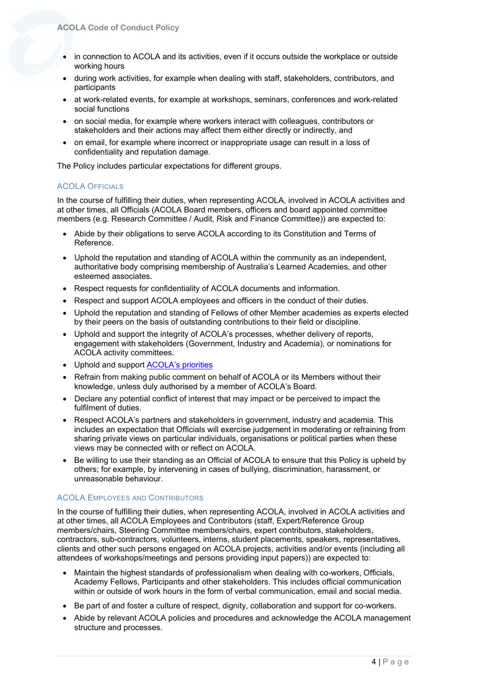- in connection to ACOLA and its activities, even if it occurs outside the workplace or outside working hours
- during work activities, for example when dealing with staff, stakeholders, contributors, and participants
- at work-related events, for example at workshops, seminars, conferences and work-related social functions
- on social media, for example where workers interact with colleagues, contributors or stakeholders and their actions may affect them either directly or indirectly, and
- on email, for example where incorrect or inappropriate usage can result in a loss of confidentiality and reputation damage.

The Policy includes particular expectations for different groups.

#### <span id="page-3-0"></span>ACOLA OFFICIALS

In the course of fulfilling their duties, when representing ACOLA, involved in ACOLA activities and at other times, all Officials (ACOLA Board members, officers and board appointed committee members (e.g. Research Committee / Audit, Risk and Finance Committee)) are expected to:

- Abide by their obligations to serve ACOLA according to its Constitution and Terms of Reference.
- Uphold the reputation and standing of ACOLA within the community as an independent, authoritative body comprising membership of Australia's Learned Academies, and other esteemed associates.
- Respect requests for confidentiality of ACOLA documents and information.
- Respect and support ACOLA employees and officers in the conduct of their duties.
- Uphold the reputation and standing of Fellows of other Member academies as experts elected by their peers on the basis of outstanding contributions to their field or discipline.
- Uphold and support the integrity of ACOLA's processes, whether delivery of reports, engagement with stakeholders (Government, Industry and Academia), or nominations for ACOLA activity committees.
- Uphold and support [ACOLA's priorities](https://acola.org/about-us/strategic-plan/)
- Refrain from making public comment on behalf of ACOLA or its Members without their knowledge, unless duly authorised by a member of ACOLA's Board.
- Declare any potential conflict of interest that may impact or be perceived to impact the fulfilment of duties.
- Respect ACOLA's partners and stakeholders in government, industry and academia. This includes an expectation that Officials will exercise judgement in moderating or refraining from sharing private views on particular individuals, organisations or political parties when these views may be connected with or reflect on ACOLA.
- Be willing to use their standing as an Official of ACOLA to ensure that this Policy is upheld by others; for example, by intervening in cases of bullying, discrimination, harassment, or unreasonable behaviour.

#### <span id="page-3-1"></span>ACOLA EMPLOYEES AND CONTRIBUTORS

In the course of fulfilling their duties, when representing ACOLA, involved in ACOLA activities and at other times, all ACOLA Employees and Contributors (staff, Expert/Reference Group members/chairs, Steering Committee members/chairs, expert contributors, stakeholders, contractors, sub-contractors, volunteers, interns, student placements, speakers, representatives, clients and other such persons engaged on ACOLA projects, activities and/or events (including all attendees of workshops/meetings and persons providing input papers)) are expected to:

- Maintain the highest standards of professionalism when dealing with co-workers, Officials, Academy Fellows, Participants and other stakeholders. This includes official communication within or outside of work hours in the form of verbal communication, email and social media.
- Be part of and foster a culture of respect, dignity, collaboration and support for co-workers.
- Abide by relevant ACOLA policies and procedures and acknowledge the ACOLA management structure and processes.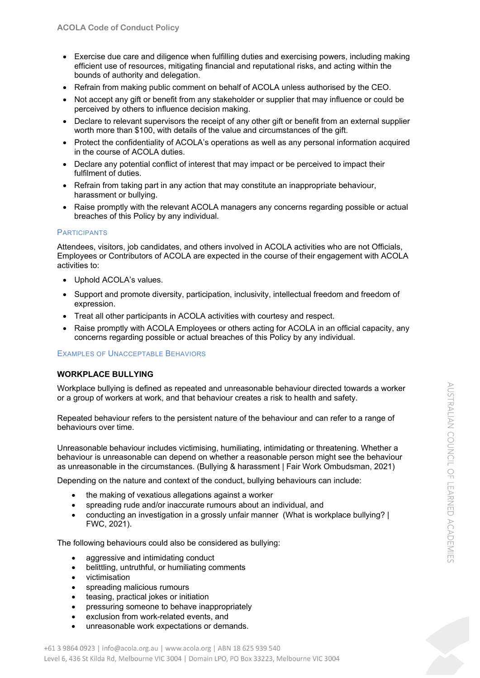- Exercise due care and diligence when fulfilling duties and exercising powers, including making efficient use of resources, mitigating financial and reputational risks, and acting within the bounds of authority and delegation.
- Refrain from making public comment on behalf of ACOLA unless authorised by the CEO.
- Not accept any gift or benefit from any stakeholder or supplier that may influence or could be perceived by others to influence decision making.
- Declare to relevant supervisors the receipt of any other gift or benefit from an external supplier worth more than \$100, with details of the value and circumstances of the gift.
- Protect the confidentiality of ACOLA's operations as well as any personal information acquired in the course of ACOLA duties.
- Declare any potential conflict of interest that may impact or be perceived to impact their fulfilment of duties.
- Refrain from taking part in any action that may constitute an inappropriate behaviour, harassment or bullying.
- Raise promptly with the relevant ACOLA managers any concerns regarding possible or actual breaches of this Policy by any individual.

#### <span id="page-4-0"></span>**PARTICIPANTS**

Attendees, visitors, job candidates, and others involved in ACOLA activities who are not Officials, Employees or Contributors of ACOLA are expected in the course of their engagement with ACOLA activities to:

- Uphold ACOLA's values.
- Support and promote diversity, participation, inclusivity, intellectual freedom and freedom of expression.
- Treat all other participants in ACOLA activities with courtesy and respect.
- Raise promptly with ACOLA Employees or others acting for ACOLA in an official capacity, any concerns regarding possible or actual breaches of this Policy by any individual.

<span id="page-4-1"></span>EXAMPLES OF UNACCEPTABLE BEHAVIORS

#### **WORKPLACE BULLYING**

Workplace bullying is defined as repeated and unreasonable behaviour directed towards a worker or a group of workers at work, and that behaviour creates a risk to health and safety.

Repeated behaviour refers to the persistent nature of the behaviour and can refer to a range of behaviours over time.

Unreasonable behaviour includes victimising, humiliating, intimidating or threatening. Whether a behaviour is unreasonable can depend on whether a reasonable person might see the behaviour as unreasonable in the circumstances. (Bullying & harassment | Fair Work Ombudsman, 2021)

Depending on the nature and context of the conduct, bullying behaviours can include:

- the making of vexatious allegations against a worker
- spreading rude and/or inaccurate rumours about an individual, and
- conducting an investigation in a grossly unfair manner (What is workplace bullying? | FWC, 2021).

The following behaviours could also be considered as bullying:

- aggressive and intimidating conduct
- belittling, untruthful, or humiliating comments
- victimisation
- spreading malicious rumours
- teasing, practical jokes or initiation
- pressuring someone to behave inappropriately
- exclusion from work-related events, and
- unreasonable work expectations or demands.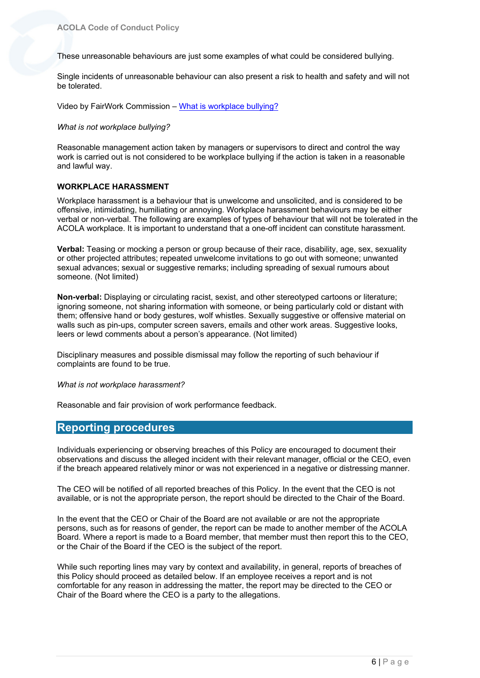These unreasonable behaviours are just some examples of what could be considered bullying.

Single incidents of unreasonable behaviour can also present a risk to health and safety and will not be tolerated.

Video by FairWork Commission – [What is workplace bullying?](https://youtu.be/nVeXxrh_OHQ)

#### *What is not workplace bullying?*

Reasonable management action taken by managers or supervisors to direct and control the way work is carried out is not considered to be workplace bullying if the action is taken in a reasonable and lawful way.

#### **WORKPLACE HARASSMENT**

Workplace harassment is a behaviour that is unwelcome and unsolicited, and is considered to be offensive, intimidating, humiliating or annoying. Workplace harassment behaviours may be either verbal or non-verbal. The following are examples of types of behaviour that will not be tolerated in the ACOLA workplace. It is important to understand that a one-off incident can constitute harassment.

**Verbal:** Teasing or mocking a person or group because of their race, disability, age, sex, sexuality or other projected attributes; repeated unwelcome invitations to go out with someone; unwanted sexual advances; sexual or suggestive remarks; including spreading of sexual rumours about someone. (Not limited)

**Non-verbal:** Displaying or circulating racist, sexist, and other stereotyped cartoons or literature; ignoring someone, not sharing information with someone, or being particularly cold or distant with them; offensive hand or body gestures, wolf whistles. Sexually suggestive or offensive material on walls such as pin-ups, computer screen savers, emails and other work areas. Suggestive looks, leers or lewd comments about a person's appearance. (Not limited)

Disciplinary measures and possible dismissal may follow the reporting of such behaviour if complaints are found to be true.

#### *What is not workplace harassment?*

Reasonable and fair provision of work performance feedback.

### <span id="page-5-0"></span>**Reporting procedures**

Individuals experiencing or observing breaches of this Policy are encouraged to document their observations and discuss the alleged incident with their relevant manager, official or the CEO, even if the breach appeared relatively minor or was not experienced in a negative or distressing manner.

The CEO will be notified of all reported breaches of this Policy. In the event that the CEO is not available, or is not the appropriate person, the report should be directed to the Chair of the Board.

In the event that the CEO or Chair of the Board are not available or are not the appropriate persons, such as for reasons of gender, the report can be made to another member of the ACOLA Board. Where a report is made to a Board member, that member must then report this to the CEO, or the Chair of the Board if the CEO is the subject of the report.

While such reporting lines may vary by context and availability, in general, reports of breaches of this Policy should proceed as detailed below. If an employee receives a report and is not comfortable for any reason in addressing the matter, the report may be directed to the CEO or Chair of the Board where the CEO is a party to the allegations.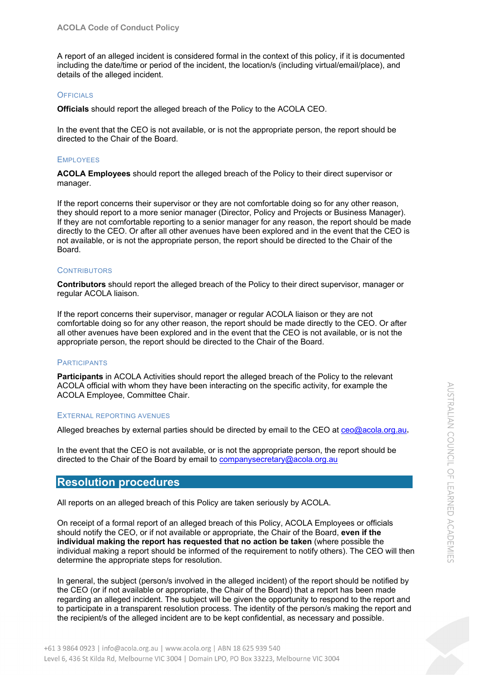A report of an alleged incident is considered formal in the context of this policy, if it is documented including the date/time or period of the incident, the location/s (including virtual/email/place), and details of the alleged incident.

#### <span id="page-6-0"></span>**OFFICIALS**

**Officials** should report the alleged breach of the Policy to the ACOLA CEO.

In the event that the CEO is not available, or is not the appropriate person, the report should be directed to the Chair of the Board.

#### <span id="page-6-1"></span>**EMPLOYEES**

**ACOLA Employees** should report the alleged breach of the Policy to their direct supervisor or manager.

If the report concerns their supervisor or they are not comfortable doing so for any other reason, they should report to a more senior manager (Director, Policy and Projects or Business Manager). If they are not comfortable reporting to a senior manager for any reason, the report should be made directly to the CEO. Or after all other avenues have been explored and in the event that the CEO is not available, or is not the appropriate person, the report should be directed to the Chair of the Board.

#### <span id="page-6-2"></span>**CONTRIBUTORS**

**Contributors** should report the alleged breach of the Policy to their direct supervisor, manager or regular ACOLA liaison.

If the report concerns their supervisor, manager or regular ACOLA liaison or they are not comfortable doing so for any other reason, the report should be made directly to the CEO. Or after all other avenues have been explored and in the event that the CEO is not available, or is not the appropriate person, the report should be directed to the Chair of the Board.

#### <span id="page-6-3"></span>**PARTICIPANTS**

**Participants** in ACOLA Activities should report the alleged breach of the Policy to the relevant ACOLA official with whom they have been interacting on the specific activity, for example the ACOLA Employee, Committee Chair.

#### <span id="page-6-4"></span>EXTERNAL REPORTING AVENUES

Alleged breaches by external parties should be directed by email to the CEO at [ceo@acola.org.au,](mailto:ceo@acola.org.au)

In the event that the CEO is not available, or is not the appropriate person, the report should be directed to the Chair of the Board by email to [companysecretary@acola.org.au](mailto:companysecretary@acola.org.au)

## <span id="page-6-5"></span>**Resolution procedures**

All reports on an alleged breach of this Policy are taken seriously by ACOLA.

On receipt of a formal report of an alleged breach of this Policy, ACOLA Employees or officials should notify the CEO, or if not available or appropriate, the Chair of the Board, **even if the individual making the report has requested that no action be taken** (where possible the individual making a report should be informed of the requirement to notify others). The CEO will then determine the appropriate steps for resolution.

In general, the subject (person/s involved in the alleged incident) of the report should be notified by the CEO (or if not available or appropriate, the Chair of the Board) that a report has been made regarding an alleged incident. The subject will be given the opportunity to respond to the report and to participate in a transparent resolution process. The identity of the person/s making the report and the recipient/s of the alleged incident are to be kept confidential, as necessary and possible.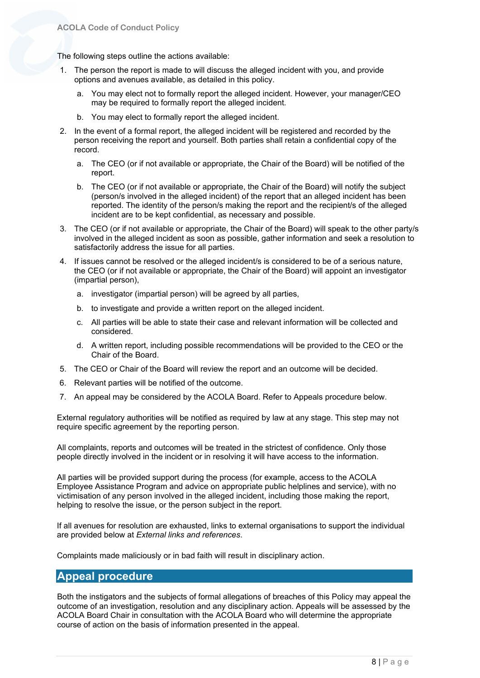The following steps outline the actions available:

- 1. The person the report is made to will discuss the alleged incident with you, and provide options and avenues available, as detailed in this policy.
	- a. You may elect not to formally report the alleged incident. However, your manager/CEO may be required to formally report the alleged incident.
	- b. You may elect to formally report the alleged incident.
- 2. In the event of a formal report, the alleged incident will be registered and recorded by the person receiving the report and yourself. Both parties shall retain a confidential copy of the record.
	- a. The CEO (or if not available or appropriate, the Chair of the Board) will be notified of the report.
	- b. The CEO (or if not available or appropriate, the Chair of the Board) will notify the subject (person/s involved in the alleged incident) of the report that an alleged incident has been reported. The identity of the person/s making the report and the recipient/s of the alleged incident are to be kept confidential, as necessary and possible.
- 3. The CEO (or if not available or appropriate, the Chair of the Board) will speak to the other party/s involved in the alleged incident as soon as possible, gather information and seek a resolution to satisfactorily address the issue for all parties.
- 4. If issues cannot be resolved or the alleged incident/s is considered to be of a serious nature, the CEO (or if not available or appropriate, the Chair of the Board) will appoint an investigator (impartial person),
	- a. investigator (impartial person) will be agreed by all parties,
	- b. to investigate and provide a written report on the alleged incident.
	- c. All parties will be able to state their case and relevant information will be collected and considered.
	- d. A written report, including possible recommendations will be provided to the CEO or the Chair of the Board.
- 5. The CEO or Chair of the Board will review the report and an outcome will be decided.
- 6. Relevant parties will be notified of the outcome.
- 7. An appeal may be considered by the ACOLA Board. Refer to Appeals procedure below.

External regulatory authorities will be notified as required by law at any stage. This step may not require specific agreement by the reporting person.

All complaints, reports and outcomes will be treated in the strictest of confidence. Only those people directly involved in the incident or in resolving it will have access to the information.

All parties will be provided support during the process (for example, access to the ACOLA Employee Assistance Program and advice on appropriate public helplines and service), with no victimisation of any person involved in the alleged incident, including those making the report, helping to resolve the issue, or the person subject in the report.

If all avenues for resolution are exhausted, links to external organisations to support the individual are provided below at *External links and references*.

Complaints made maliciously or in bad faith will result in disciplinary action.

## <span id="page-7-0"></span>**Appeal procedure**

Both the instigators and the subjects of formal allegations of breaches of this Policy may appeal the outcome of an investigation, resolution and any disciplinary action. Appeals will be assessed by the ACOLA Board Chair in consultation with the ACOLA Board who will determine the appropriate course of action on the basis of information presented in the appeal.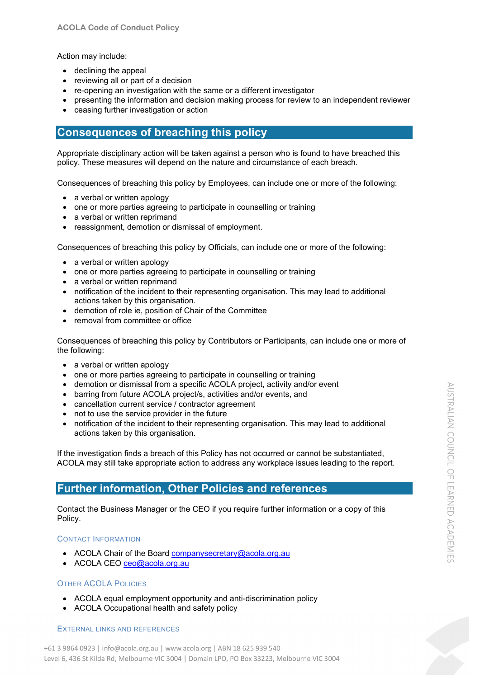#### Action may include:

- declining the appeal
- reviewing all or part of a decision
- re-opening an investigation with the same or a different investigator
- presenting the information and decision making process for review to an independent reviewer
- ceasing further investigation or action

## <span id="page-8-0"></span>**Consequences of breaching this policy**

Appropriate disciplinary action will be taken against a person who is found to have breached this policy. These measures will depend on the nature and circumstance of each breach.

Consequences of breaching this policy by Employees, can include one or more of the following:

- a verbal or written apology
- one or more parties agreeing to participate in counselling or training
- a verbal or written reprimand
- reassignment, demotion or dismissal of employment.

Consequences of breaching this policy by Officials, can include one or more of the following:

- a verbal or written apology
- one or more parties agreeing to participate in counselling or training
- a verbal or written reprimand
- notification of the incident to their representing organisation. This may lead to additional actions taken by this organisation.
- demotion of role ie, position of Chair of the Committee
- removal from committee or office

Consequences of breaching this policy by Contributors or Participants, can include one or more of the following:

- a verbal or written apology
- one or more parties agreeing to participate in counselling or training
- demotion or dismissal from a specific ACOLA project, activity and/or event
- barring from future ACOLA project/s, activities and/or events, and
- cancellation current service / contractor agreement
- not to use the service provider in the future
- notification of the incident to their representing organisation. This may lead to additional actions taken by this organisation.

If the investigation finds a breach of this Policy has not occurred or cannot be substantiated, ACOLA may still take appropriate action to address any workplace issues leading to the report.

## <span id="page-8-1"></span>**Further information, Other Policies and references**

Contact the Business Manager or the CEO if you require further information or a copy of this Policy.

#### <span id="page-8-2"></span>CONTACT INFORMATION

- ACOLA Chair of the Board [companysecretary@acola.org.au](mailto:companysecretary@acola.org.au)
- ACOLA CEO [ceo@acola.org.au](mailto:ceo@acola.org.au)

#### <span id="page-8-3"></span>OTHER ACOLA POLICIES

- ACOLA equal employment opportunity and anti-discrimination policy
- ACOLA Occupational health and safety policy

#### <span id="page-8-4"></span>EXTERNAL LINKS AND REFERENCES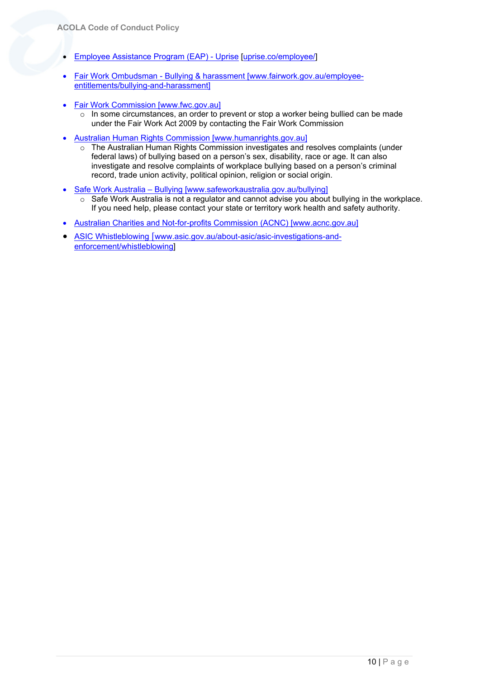- [Employee Assistance Program \(EAP\) -](https://uprise.co/employee/) Uprise [\[uprise.co/employee/\]](https://uprise.co/employee/)
- Fair Work Ombudsman [Bullying & harassment](https://www.fairwork.gov.au/employee-entitlements/bullying-and-harassment) [\[www.fairwork.gov.au/employee](http://www.fairwork.gov.au/employee-entitlements/bullying-and-harassment)[entitlements/bullying-and-harassment\]](http://www.fairwork.gov.au/employee-entitlements/bullying-and-harassment)
- [Fair Work Commission](https://www.fwc.gov.au/) [www.fwc.gov.au]
	- o In some circumstances, an order to prevent or stop a worker being bullied can be made under the Fair Work Act 2009 by contacting the Fair Work Commission
- [Australian Human Rights Commission](https://humanrights.gov.au/) [www.humanrights.gov.au]
	- o The Australian Human Rights Commission investigates and resolves complaints (under federal laws) of bullying based on a person's sex, disability, race or age. It can also investigate and resolve complaints of workplace bullying based on a person's criminal record, trade union activity, political opinion, religion or social origin.
- [Safe Work Australia](https://www.safeworkaustralia.gov.au/bullying) Bullying [\[www.safeworkaustralia.gov.au/bullying\]](http://www.safeworkaustralia.gov.au/bullying)
	- o Safe Work Australia is not a regulator and cannot advise you about bullying in the workplace. If you need help, please contact your state or territory work health and safety authority.
- [Australian Charities and Not-for-profits Commission](https://www.acnc.gov.au/) (ACNC) [www.acnc.gov.au]
- [ASIC Whistleblowing](https://www.asic.gov.au/about-asic/asic-investigations-and-enforcement/whistleblowing/) [[www.asic.gov.au/about-asic/asic-investigations-and](http://www.asic.gov.au/about-asic/asic-investigations-and-enforcement/whistleblowing)[enforcement/whistleblowing\]](http://www.asic.gov.au/about-asic/asic-investigations-and-enforcement/whistleblowing)